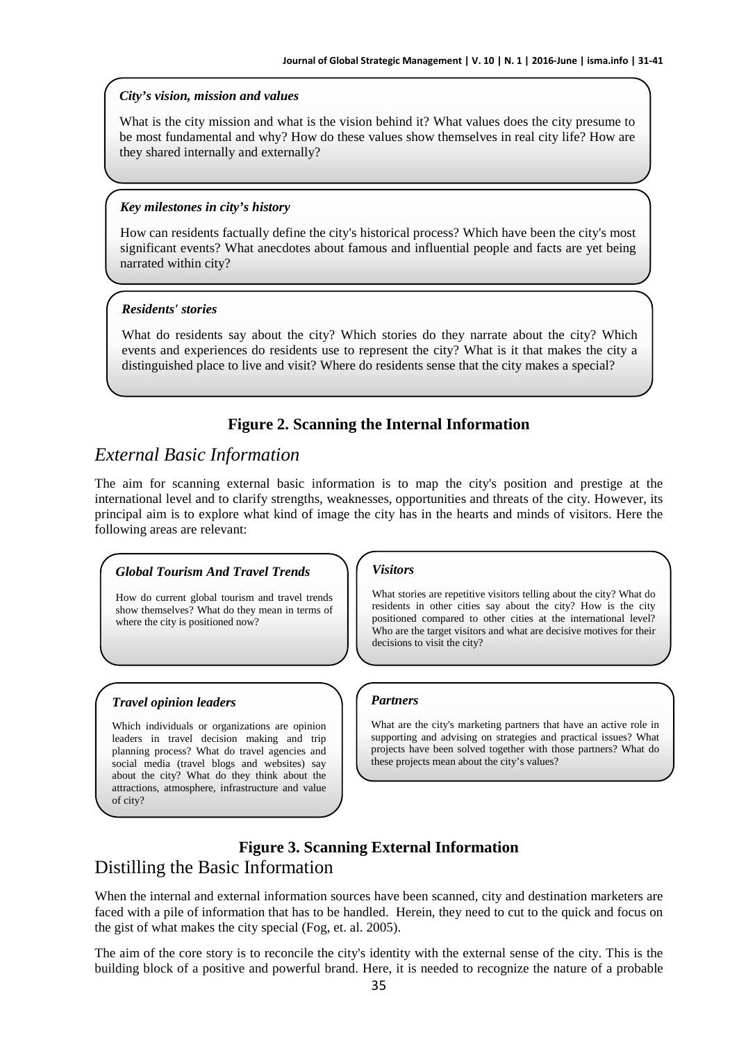#### *City's vision, mission and values*

What is the city mission and what is the vision behind it? What values does the city presume to be most fundamental and why? How do these values show themselves in real city life? How are they shared internally and externally?

## *Key milestones in city's history*

How can residents factually define the city's historical process? Which have been the city's most significant events? What anecdotes about famous and influential people and facts are yet being narrated within city?

## *Residents' stories*

What do residents say about the city? Which stories do they narrate about the city? Which events and experiences do residents use to represent the city? What is it that makes the city a distinguished place to live and visit? Where do residents sense that the city makes a special?

## **Figure 2. Scanning the Internal Information**

# *External Basic Information*

The aim for scanning external basic information is to map the city's position and prestige at the international level and to clarify strengths, weaknesses, opportunities and threats of the city. However, its principal aim is to explore what kind of image the city has in the hearts and minds of visitors. Here the following areas are relevant: **However Constrained Constrained Constrained Ale and Ale and Ale and Ale and Ale and Ale and Ale and Ale and Ale and Ale and Ale and Ale and Ale and Ale and Ale and Ale and Ale and Ale and Ale and Ale and Ale and Ale and** 

## *Global Tourism And Travel Trends*

How do current global tourism and travel trends show themselves? What do they mean in terms of where the city is positioned now?

## *Travel opinion leaders*

Which individuals or organizations are opinion leaders in travel decision making and trip planning process? What do travel agencies and social media (travel blogs and websites) say about the city? What do they think about the attractions, atmosphere, infrastructure and value of city?

#### *Visitors*

What stories are repetitive visitors telling about the city? What do residents in other cities say about the city? How is the city positioned compared to other cities at the international level? Who are the target visitors and what are decisive motives for their decisions to visit the city?

## *Partners*

What are the city's marketing partners that have an active role in supporting and advising on strategies and practical issues? What projects have been solved together with those partners? What do these projects mean about the city's values?

## **Figure 3. Scanning External Information**  Distilling the Basic Information

When the internal and external information sources have been scanned, city and destination marketers are faced with a pile of information that has to be handled. Herein, they need to cut to the quick and focus on the gist of what makes the city special (Fog, et. al. 2005).

The aim of the core story is to reconcile the city's identity with the external sense of the city. This is the building block of a positive and powerful brand. Here, it is needed to recognize the nature of a probable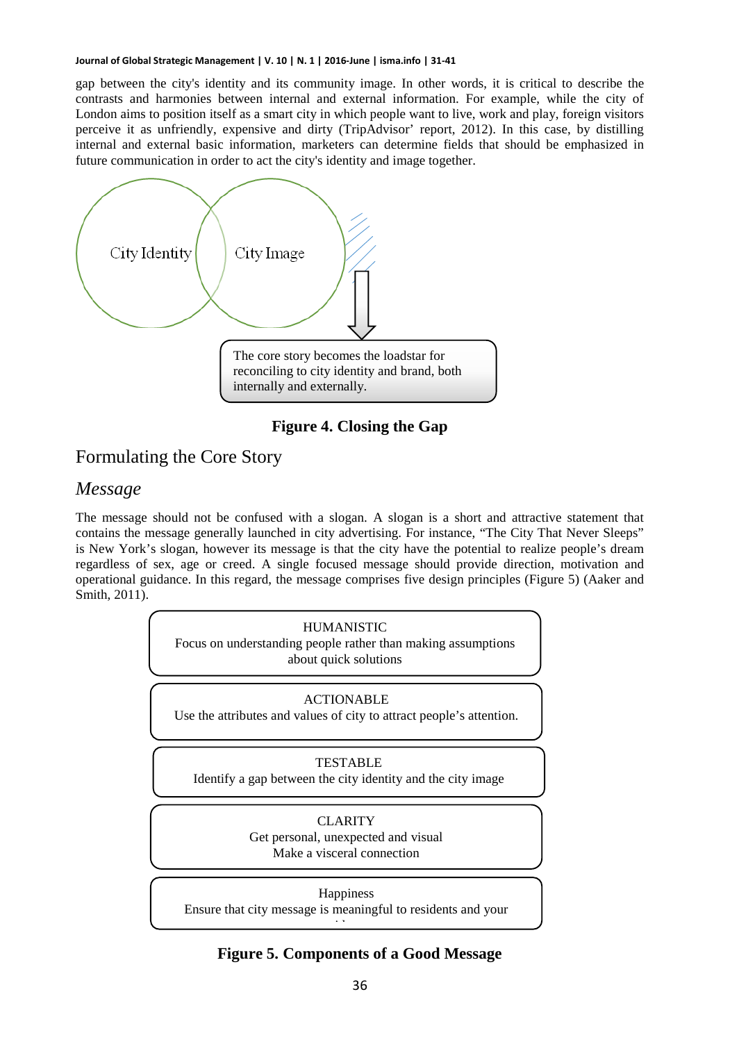gap between the city's identity and its community image. In other words, it is critical to describe the contrasts and harmonies between internal and external information. For example, while the city of London aims to position itself as a smart city in which people want to live, work and play, foreign visitors perceive it as unfriendly, expensive and dirty (TripAdvisor' report, 2012). In this case, by distilling internal and external basic information, marketers can determine fields that should be emphasized in future communication in order to act the city's identity and image together.



**Figure 4. Closing the Gap** 

# Formulating the Core Story

## *Message*

The message should not be confused with a slogan. A slogan is a short and attractive statement that contains the message generally launched in city advertising. For instance, "The City That Never Sleeps" is New York's slogan, however its message is that the city have the potential to realize people's dream regardless of sex, age or creed. A single focused message should provide direction, motivation and operational guidance. In this regard, the message comprises five design principles (Figure 5) (Aaker and Smith, 2011).



## **Figure 5. Components of a Good Message**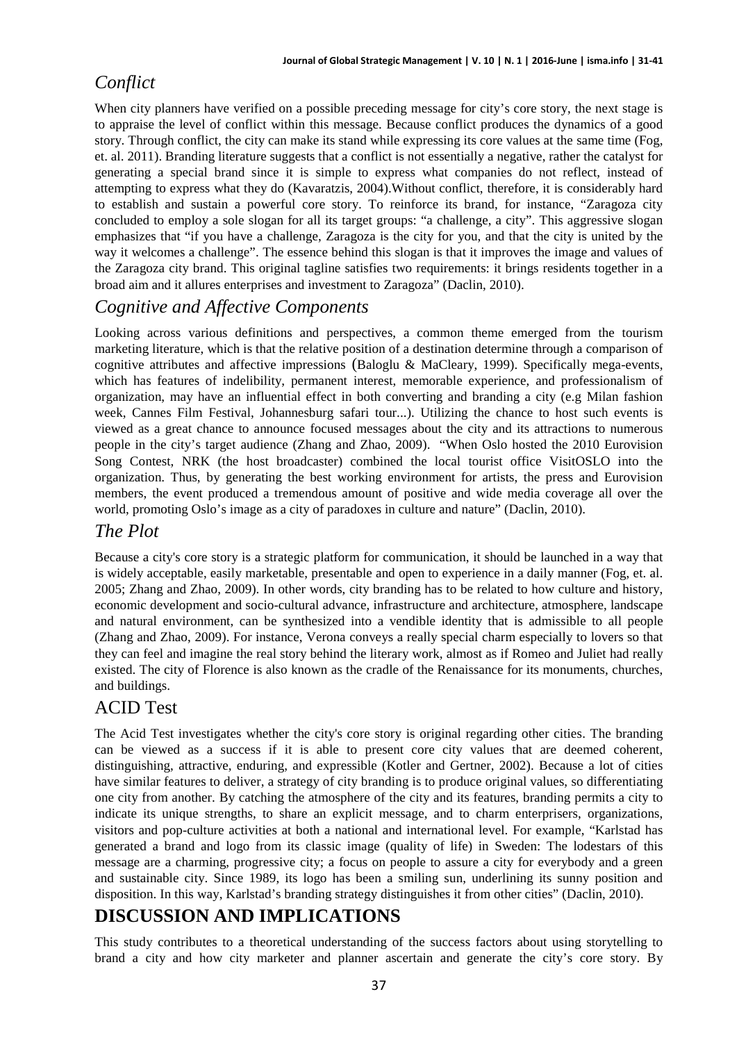# *Conflict*

When city planners have verified on a possible preceding message for city's core story, the next stage is to appraise the level of conflict within this message. Because conflict produces the dynamics of a good story. Through conflict, the city can make its stand while expressing its core values at the same time (Fog, et. al. 2011). Branding literature suggests that a conflict is not essentially a negative, rather the catalyst for generating a special brand since it is simple to express what companies do not reflect, instead of attempting to express what they do (Kavaratzis, 2004).Without conflict, therefore, it is considerably hard to establish and sustain a powerful core story. To reinforce its brand, for instance, "Zaragoza city concluded to employ a sole slogan for all its target groups: "a challenge, a city". This aggressive slogan emphasizes that "if you have a challenge, Zaragoza is the city for you, and that the city is united by the way it welcomes a challenge". The essence behind this slogan is that it improves the image and values of the Zaragoza city brand. This original tagline satisfies two requirements: it brings residents together in a broad aim and it allures enterprises and investment to Zaragoza" (Daclin, 2010).

# *Cognitive and Affective Components*

Looking across various definitions and perspectives, a common theme emerged from the tourism marketing literature, which is that the relative position of a destination determine through a comparison of cognitive attributes and affective impressions (Baloglu & MaCleary, 1999). Specifically mega-events, which has features of indelibility, permanent interest, memorable experience, and professionalism of organization, may have an influential effect in both converting and branding a city (e.g Milan fashion week, Cannes Film Festival, Johannesburg safari tour...). Utilizing the chance to host such events is viewed as a great chance to announce focused messages about the city and its attractions to numerous people in the city's target audience (Zhang and Zhao, 2009). "When Oslo hosted the 2010 Eurovision Song Contest, NRK (the host broadcaster) combined the local tourist office VisitOSLO into the organization. Thus, by generating the best working environment for artists, the press and Eurovision members, the event produced a tremendous amount of positive and wide media coverage all over the world, promoting Oslo's image as a city of paradoxes in culture and nature" (Daclin, 2010). **Journal of Golobal Strategic Management | V. 201 | N. 11 | 2016-June 100 = 10.2016-June 2016-June 2016-June 2016-June 2016-June 2016-June 2016-June 2016-June 2016-June 2016-June 2016-June 2016-June 2016-June 2016-June 201** 

# *The Plot*

Because a city's core story is a strategic platform for communication, it should be launched in a way that is widely acceptable, easily marketable, presentable and open to experience in a daily manner (Fog, et. al. 2005; Zhang and Zhao, 2009). In other words, city branding has to be related to how culture and history, economic development and socio-cultural advance, infrastructure and architecture, atmosphere, landscape and natural environment, can be synthesized into a vendible identity that is admissible to all people (Zhang and Zhao, 2009). For instance, Verona conveys a really special charm especially to lovers so that they can feel and imagine the real story behind the literary work, almost as if Romeo and Juliet had really existed. The city of Florence is also known as the cradle of the Renaissance for its monuments, churches, and buildings.

# ACID Test

The Acid Test investigates whether the city's core story is original regarding other cities. The branding can be viewed as a success if it is able to present core city values that are deemed coherent, distinguishing, attractive, enduring, and expressible (Kotler and Gertner, 2002). Because a lot of cities have similar features to deliver, a strategy of city branding is to produce original values, so differentiating one city from another. By catching the atmosphere of the city and its features, branding permits a city to indicate its unique strengths, to share an explicit message, and to charm enterprisers, organizations, visitors and pop-culture activities at both a national and international level. For example, "Karlstad has generated a brand and logo from its classic image (quality of life) in Sweden: The lodestars of this message are a charming, progressive city; a focus on people to assure a city for everybody and a green and sustainable city. Since 1989, its logo has been a smiling sun, underlining its sunny position and disposition. In this way, Karlstad's branding strategy distinguishes it from other cities" (Daclin, 2010).

# **DISCUSSION AND IMPLICATIONS**

This study contributes to a theoretical understanding of the success factors about using storytelling to brand a city and how city marketer and planner ascertain and generate the city's core story. By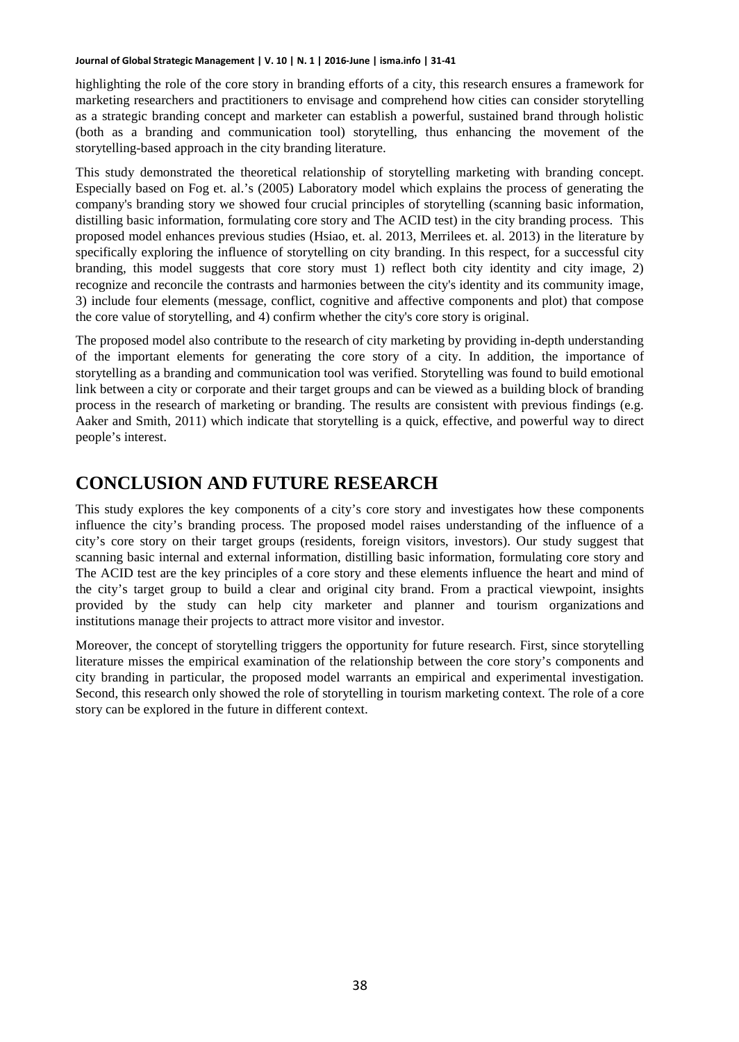highlighting the role of the core story in branding efforts of a city, this research ensures a framework for marketing researchers and practitioners to envisage and comprehend how cities can consider storytelling as a strategic branding concept and marketer can establish a powerful, sustained brand through holistic (both as a branding and communication tool) storytelling, thus enhancing the movement of the storytelling-based approach in the city branding literature.

This study demonstrated the theoretical relationship of storytelling marketing with branding concept. Especially based on Fog et. al.'s (2005) Laboratory model which explains the process of generating the company's branding story we showed four crucial principles of storytelling (scanning basic information, distilling basic information, formulating core story and The ACID test) in the city branding process. This proposed model enhances previous studies (Hsiao, et. al. 2013, Merrilees et. al. 2013) in the literature by specifically exploring the influence of storytelling on city branding. In this respect, for a successful city branding, this model suggests that core story must 1) reflect both city identity and city image, 2) recognize and reconcile the contrasts and harmonies between the city's identity and its community image, 3) include four elements (message, conflict, cognitive and affective components and plot) that compose the core value of storytelling, and 4) confirm whether the city's core story is original. **House of Global Strategic Management (W. 2011). We have lead to provide the strategic Management (W. 2016)** and provide the strategic management was also to the strategic management was used to the strategic management wa

The proposed model also contribute to the research of city marketing by providing in-depth understanding of the important elements for generating the core story of a city. In addition, the importance of storytelling as a branding and communication tool was verified. Storytelling was found to build emotional link between a city or corporate and their target groups and can be viewed as a building block of branding process in the research of marketing or branding. The results are consistent with previous findings (e.g. Aaker and Smith, 2011) which indicate that storytelling is a quick, effective, and powerful way to direct people's interest.

# **CONCLUSION AND FUTURE RESEARCH**

This study explores the key components of a city's core story and investigates how these components influence the city's branding process. The proposed model raises understanding of the influence of a city's core story on their target groups (residents, foreign visitors, investors). Our study suggest that scanning basic internal and external information, distilling basic information, formulating core story and The ACID test are the key principles of a core story and these elements influence the heart and mind of the city's target group to build a clear and original city brand. From a practical viewpoint, insights provided by the study can help city marketer and planner and tourism organizations and institutions manage their projects to attract more visitor and investor.

Moreover, the concept of storytelling triggers the opportunity for future research. First, since storytelling literature misses the empirical examination of the relationship between the core story's components and city branding in particular, the proposed model warrants an empirical and experimental investigation. Second, this research only showed the role of storytelling in tourism marketing context. The role of a core story can be explored in the future in different context.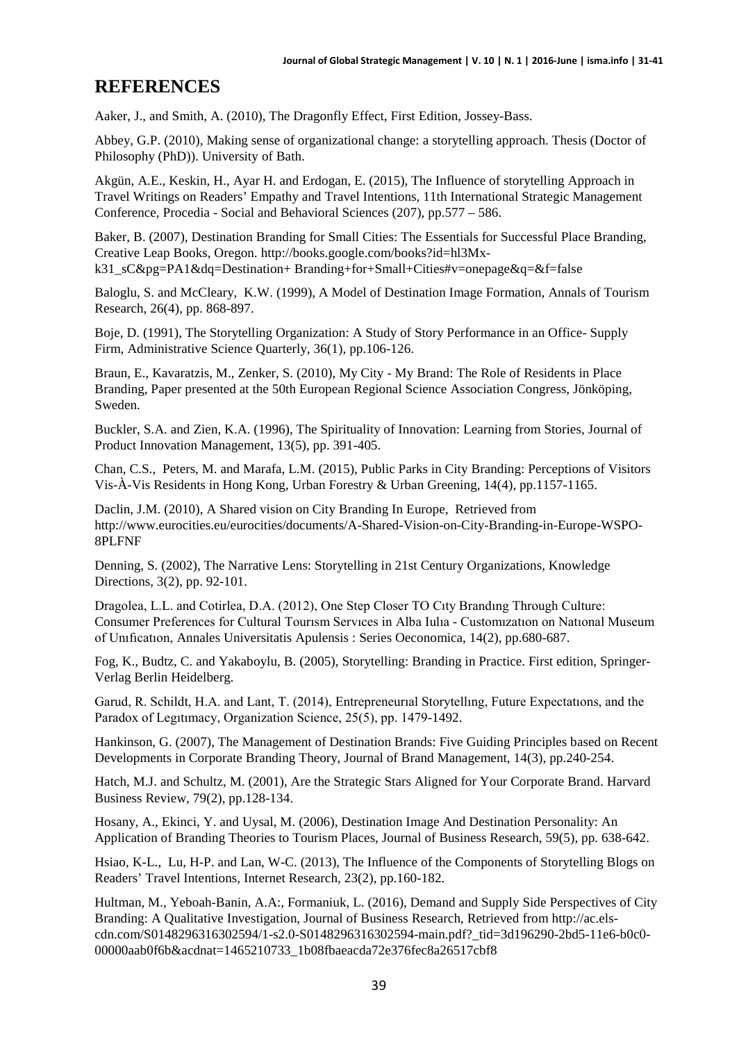# **REFERENCES**

Aaker, J., and Smith, A. (2010), The Dragonfly Effect, First Edition, Jossey-Bass.

Abbey, G.P. (2010), Making sense of organizational change: a storytelling approach. Thesis (Doctor of Philosophy (PhD)). University of Bath.

Akgün, A.E., Keskin, H., Ayar H. and Erdogan, E. (2015), The Influence of storytelling Approach in Travel Writings on Readers' Empathy and Travel Intentions, 11th International Strategic Management Conference, Procedia - Social and Behavioral Sciences (207), pp.577 – 586.

Baker, B. (2007), Destination Branding for Small Cities: The Essentials for Successful Place Branding, Creative Leap Books, Oregon. http://books.google.com/books?id=hl3Mxk31\_sC&pg=PA1&dq=Destination+ Branding+for+Small+Cities#v=onepage&q=&f=false

Baloglu, S. and McCleary, K.W. (1999), A Model of Destination Image Formation, Annals of Tourism Research, 26(4), pp. 868-897.

Boje, D. (1991), The Storytelling Organization: A Study of Story Performance in an Office- Supply Firm, Administrative Science Quarterly, 36(1), pp.106-126.

Braun, E., Kavaratzis, M., Zenker, S. (2010), My City - My Brand: The Role of Residents in Place Branding, Paper presented at the 50th European Regional Science Association Congress, Jönköping, Sweden.

Buckler, S.A. and Zien, K.A. (1996), The Spirituality of Innovation: Learning from Stories, Journal of Product Innovation Management, 13(5), pp. 391-405.

Chan, C.S., Peters, M. and Marafa, L.M. (2015), Public Parks in City Branding: Perceptions of Visitors Vis-À-Vis Residents in Hong Kong, Urban Forestry & Urban Greening, 14(4), pp.1157-1165.

Daclin, J.M. (2010), A Shared vision on City Branding In Europe, Retrieved from http://www.eurocities.eu/eurocities/documents/A-Shared-Vision-on-City-Branding-in-Europe-WSPO-8PLFNF

Denning, S. (2002), The Narrative Lens: Storytelling in 21st Century Organizations, Knowledge Directions, 3(2), pp. 92-101.

Dragolea, L.L. and Cotirlea, D.A. (2012), One Step Closer TO Cıty Brandıng Through Culture: Consumer Preferences for Cultural Tourısm Servıces in Alba Iulıa - Customızatıon on Natıonal Museum of Unıfıcatıon, Annales Universitatis Apulensis : Series Oeconomica, 14(2), pp.680-687.

Fog, K., Budtz, C. and Yakaboylu, B. (2005), Storytelling: Branding in Practice. First edition, Springer-Verlag Berlin Heidelberg.

Garud, R. Schildt, H.A. and Lant, T. (2014), Entrepreneurıal Storytellıng, Future Expectatıons, and the Paradox of Legıtımacy, Organization Science, 25(5), pp. 1479-1492.

Hankinson, G. (2007), The Management of Destination Brands: Five Guiding Principles based on Recent Developments in Corporate Branding Theory, Journal of Brand Management, 14(3), pp.240-254.

Hatch, M.J. and Schultz, M. (2001), Are the Strategic Stars Aligned for Your Corporate Brand. Harvard Business Review, 79(2), pp.128-134.

Hosany, A., Ekinci, Y. and Uysal, M. (2006), Destination Image And Destination Personality: An Application of Branding Theories to Tourism Places, Journal of Business Research, 59(5), pp. 638-642.

Hsiao, K-L., Lu, H-P. and Lan, W-C. (2013), The Influence of the Components of Storytelling Blogs on Readers' Travel Intentions, Internet Research, 23(2), pp.160-182.

Hultman, M., Yeboah-Banin, A.A:, Formaniuk, L. (2016), Demand and Supply Side Perspectives of City Branding: A Qualitative Investigation, Journal of Business Research, Retrieved from http://ac.elscdn.com/S0148296316302594/1-s2.0-S0148296316302594-main.pdf?\_tid=3d196290-2bd5-11e6-b0c0- 00000aab0f6b&acdnat=1465210733\_1b08fbaeacda72e376fec8a26517cbf8 **Journal of Gold Strategic Management | V. 10 | N. 11 | 2016-June | 11-41 | DOI: 10.20460/JGM.201612234 2016-June 11-41 | DOI: 10.20460/AGM.201612234 2016-June 11-41 | DOI: 10.20460/AGM.<br>
Market, C. P. (2010), Vaking sense**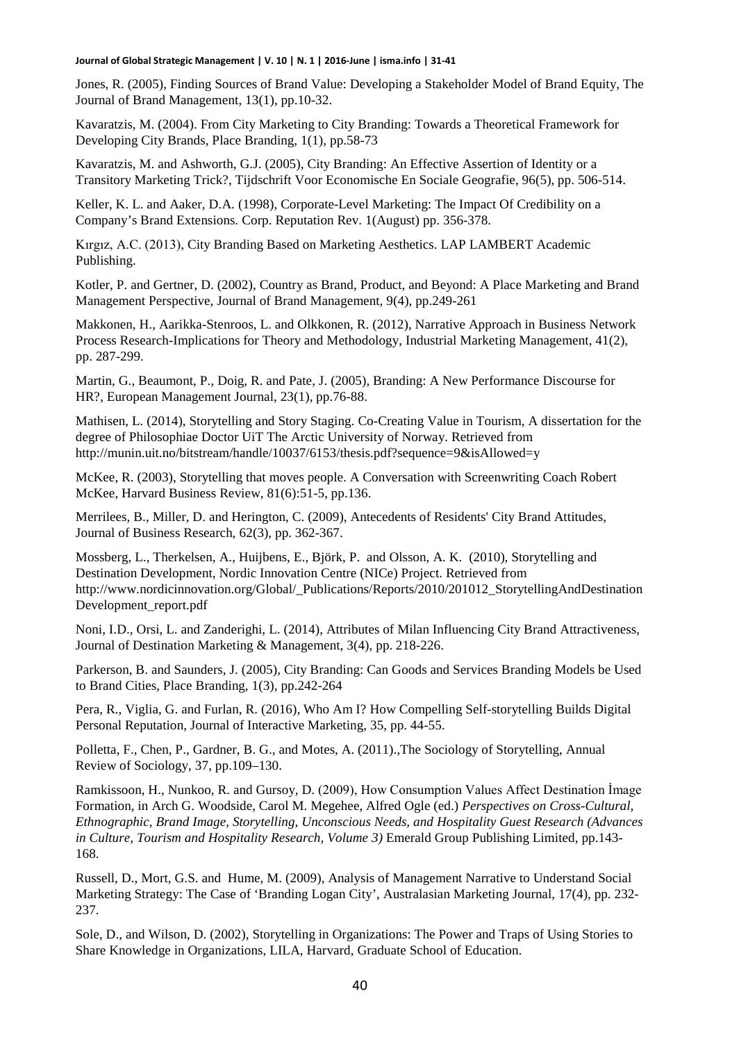Jones, R. (2005), Finding Sources of Brand Value: Developing a Stakeholder Model of Brand Equity, The Journal of Brand Management, 13(1), pp.10-32.

Kavaratzis, M. (2004). From City Marketing to City Branding: Towards a Theoretical Framework for Developing City Brands, Place Branding, 1(1), pp.58-73

Kavaratzis, M. and Ashworth, G.J. (2005), City Branding: An Effective Assertion of Identity or a Transitory Marketing Trick?, Tijdschrift Voor Economische En Sociale Geografie, 96(5), pp. 506-514.

Keller, K. L. and Aaker, D.A. (1998), Corporate-Level Marketing: The Impact Of Credibility on a Company's Brand Extensions. Corp. Reputation Rev. 1(August) pp. 356-378.

Kırgız, A.C. (2013), City Branding Based on Marketing Aesthetics. LAP LAMBERT Academic Publishing.

Kotler, P. and Gertner, D. (2002), Country as Brand, Product, and Beyond: A Place Marketing and Brand Management Perspective, Journal of Brand Management, 9(4), pp.249-261

Makkonen, H., Aarikka-Stenroos, L. and Olkkonen, R. (2012), Narrative Approach in Business Network Process Research-Implications for Theory and Methodology, Industrial Marketing Management, 41(2), pp. 287-299.

Martin, G., Beaumont, P., Doig, R. and Pate, J. (2005), Branding: A New Performance Discourse for HR?, European Management Journal, 23(1), pp.76-88.

Mathisen, L. (2014), Storytelling and Story Staging. Co-Creating Value in Tourism, A dissertation for the degree of Philosophiae Doctor UiT The Arctic University of Norway. Retrieved from http://munin.uit.no/bitstream/handle/10037/6153/thesis.pdf?sequence=9&isAllowed=y

[McKee, R.](http://www.ncbi.nlm.nih.gov/pubmed/?term=McKee%20R%5BAuthor%5D&cauthor=true&cauthor_uid=12800716) (2003), Storytelling that moves people. A Conversation with Screenwriting Coach Robert McKee, Harvard Business Review, 81(6):51-5, pp.136.

Merrilees, B., Miller, D. and Herington, C. (2009), Antecedents of Residents' City Brand Attitudes, Journal of Business Research, 62(3), pp. 362-367.

Mossberg, L., Therkelsen, A., Huijbens, E., Björk, P. and Olsson, A. K. (2010), Storytelling and Destination Development, Nordic Innovation Centre (NICe) Project. Retrieved from http://www.nordicinnovation.org/Global/\_Publications/Reports/2010/201012\_StorytellingAndDestination Development\_report.pdf

Noni, I.D., Orsi, L. and Zanderighi, L. (2014), Attributes of Milan Influencing City Brand Attractiveness, Journal of Destination Marketing & Management, 3(4), pp. 218-226.

Parkerson, B. and Saunders, J. (2005), City Branding: Can Goods and Services Branding Models be Used to Brand Cities, Place Branding, 1(3), pp.242-264

Pera, R., Viglia, G. and Furlan, R. (2016), Who Am I? How Compelling Self-storytelling Builds Digital Personal Reputation, Journal of Interactive Marketing, 35, pp. 44-55.

Polletta, F., Chen, P., Gardner, B. G., and Motes, A. (2011).,The Sociology of Storytelling, Annual Review of Sociology, 37, pp.109–130.

[Ramkissoon,](http://www.emeraldinsight.com/author/Ramkissoon%2C+Haywantee) H., Nunkoo, R. and Gursoy, D. (2009), How Consumption Values Affect Destination İmage Formation, in Arch G. Woodside, Carol M. Megehee, Alfred Ogle (ed.) *Perspectives on Cross-Cultural, Ethnographic, Brand Image, Storytelling, Unconscious Needs, and Hospitality Guest Research (Advances in Culture, Tourism and Hospitality Research, Volume 3)* Emerald Group Publishing Limited, pp.143- 168. **Houris Global Strategic Management (V. 10 | Houris Journal of Global Strategic Management (V. 2016). The Strategic Management (V. 2016). The U. 2016-June 10 and Strategic Management (V. 10 (N. 10 (N. 10 (N. 10 (N. 10 (N.** 

Russell, D., Mort, G.S. and Hume, M. (2009), Analysis of Management Narrative to Understand Social Marketing Strategy: The Case of 'Branding Logan City', Australasian Marketing Journal, 17(4), pp. 232- 237.

Sole, D., and Wilson, D. (2002), Storytelling in Organizations: The Power and Traps of Using Stories to Share Knowledge in Organizations, LILA, Harvard, Graduate School of Education.